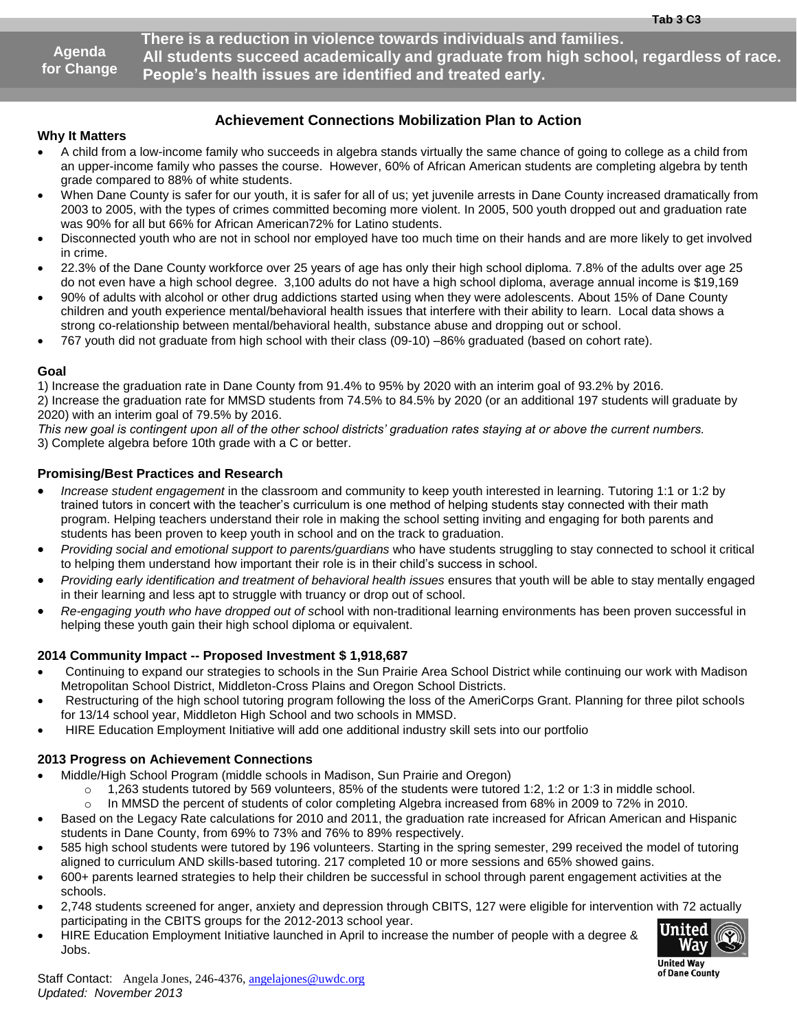**Agenda for Change**  **There is a reduction in violence towards individuals and families. All students succeed academically and graduate from high school, regardless of race. People's health issues are identified and treated early.**

.

### **Achievement Connections Mobilization Plan to Action**

#### **Why It Matters**

- A child from a low-income family who succeeds in algebra stands virtually the same chance of going to college as a child from an upper-income family who passes the course. However, 60% of African American students are completing algebra by tenth grade compared to 88% of white students.
- When Dane County is safer for our youth, it is safer for all of us; yet juvenile arrests in Dane County increased dramatically from 2003 to 2005, with the types of crimes committed becoming more violent. In 2005, 500 youth dropped out and graduation rate was 90% for all but 66% for African American72% for Latino students.
- Disconnected youth who are not in school nor employed have too much time on their hands and are more likely to get involved in crime.
- 22.3% of the Dane County workforce over 25 years of age has only their high school diploma. 7.8% of the adults over age 25 do not even have a high school degree. 3,100 adults do not have a high school diploma, average annual income is \$19,169
- 90% of adults with alcohol or other drug addictions started using when they were adolescents. About 15% of Dane County children and youth experience mental/behavioral health issues that interfere with their ability to learn. Local data shows a strong co-relationship between mental/behavioral health, substance abuse and dropping out or school.
- 767 youth did not graduate from high school with their class (09-10) –86% graduated (based on cohort rate).

#### **Goal**

1) Increase the graduation rate in Dane County from 91.4% to 95% by 2020 with an interim goal of 93.2% by 2016. 2) Increase the graduation rate for MMSD students from 74.5% to 84.5% by 2020 (or an additional 197 students will graduate by

2020) with an interim goal of 79.5% by 2016.

*This new goal is contingent upon all of the other school districts' graduation rates staying at or above the current numbers.*

3) Complete algebra before 10th grade with a C or better.

#### **Promising/Best Practices and Research**

- *Increase student engagement* in the classroom and community to keep youth interested in learning. Tutoring 1:1 or 1:2 by trained tutors in concert with the teacher's curriculum is one method of helping students stay connected with their math program. Helping teachers understand their role in making the school setting inviting and engaging for both parents and students has been proven to keep youth in school and on the track to graduation.
- *Providing social and emotional support to parents/guardians* who have students struggling to stay connected to school it critical to helping them understand how important their role is in their child's success in school.
- *Providing early identification and treatment of behavioral health issues* ensures that youth will be able to stay mentally engaged in their learning and less apt to struggle with truancy or drop out of school.
- *Re-engaging youth who have dropped out of sc*hool with non-traditional learning environments has been proven successful in helping these youth gain their high school diploma or equivalent.

#### **2014 Community Impact -- Proposed Investment \$ 1,918,687**

- Continuing to expand our strategies to schools in the Sun Prairie Area School District while continuing our work with Madison Metropolitan School District, Middleton-Cross Plains and Oregon School Districts.
- Restructuring of the high school tutoring program following the loss of the AmeriCorps Grant. Planning for three pilot schools for 13/14 school year, Middleton High School and two schools in MMSD.
- HIRE Education Employment Initiative will add one additional industry skill sets into our portfolio

#### **2013 Progress on Achievement Connections**

- Middle/High School Program (middle schools in Madison, Sun Prairie and Oregon)
	- $\circ$  1,263 students tutored by 569 volunteers, 85% of the students were tutored 1:2, 1:2 or 1:3 in middle school.
	- $\circ$  In MMSD the percent of students of color completing Algebra increased from 68% in 2009 to 72% in 2010.
- Based on the Legacy Rate calculations for 2010 and 2011, the graduation rate increased for African American and Hispanic students in Dane County, from 69% to 73% and 76% to 89% respectively.
- 585 high school students were tutored by 196 volunteers. Starting in the spring semester, 299 received the model of tutoring aligned to curriculum AND skills-based tutoring. 217 completed 10 or more sessions and 65% showed gains.
- 600+ parents learned strategies to help their children be successful in school through parent engagement activities at the schools.
- 2,748 students screened for anger, anxiety and depression through CBITS, 127 were eligible for intervention with 72 actually participating in the CBITS groups for the 2012-2013 school year.
- HIRE Education Employment Initiative launched in April to increase the number of people with a degree & Jobs.



**United Wav** of Dane County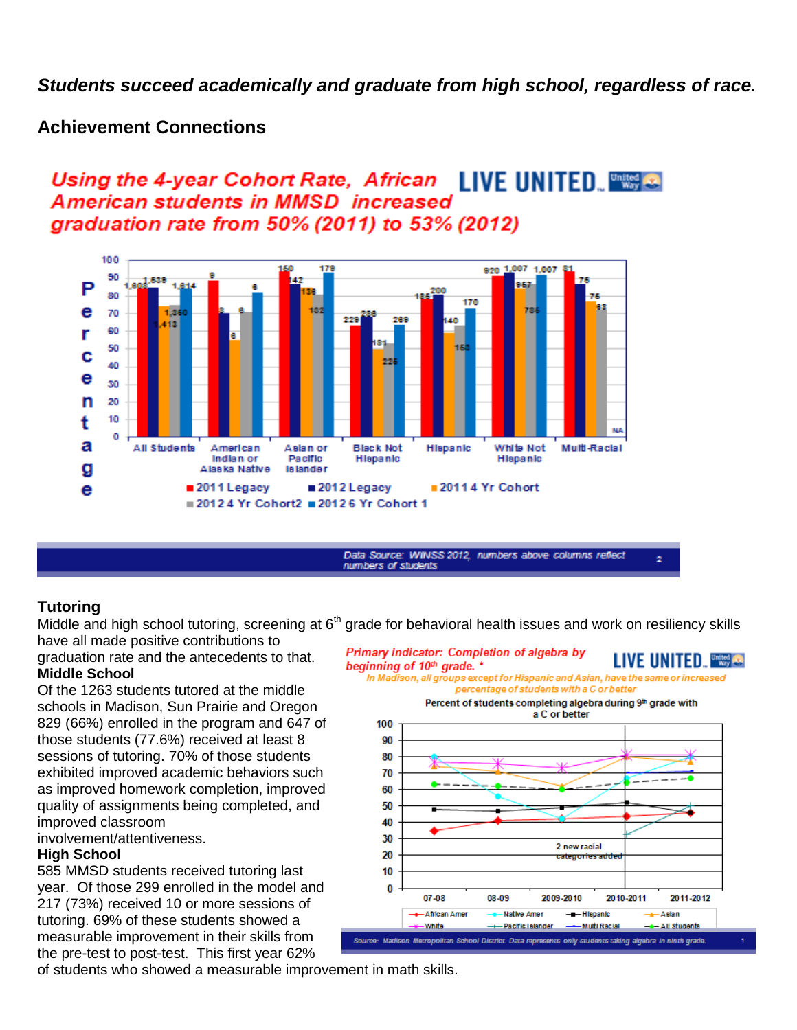*Students succeed academically and graduate from high school, regardless of race.*

### **Achievement Connections**

### Using the 4-year Cohort Rate, African LIVE UNITED. American students in MMSD increased graduation rate from 50% (2011) to 53% (2012)



Data Source: WINSS 2012, numbers above columns reflect numbers of students

### **Tutoring**

have all made positive contributions to

graduation rate and the antecedents to that. **Middle School**

Of the 1263 students tutored at the middle schools in Madison, Sun Prairie and Oregon 829 (66%) enrolled in the program and 647 of those students (77.6%) received at least 8 sessions of tutoring. 70% of those students exhibited improved academic behaviors such as improved homework completion, improved quality of assignments being completed, and improved classroom

involvement/attentiveness.

#### **High School**

585 MMSD students received tutoring last year. Of those 299 enrolled in the model and 217 (73%) received 10 or more sessions of tutoring. 69% of these students showed a measurable improvement in their skills from the pre-test to post-test. This first year 62%

Middle and high school tutoring, screening at  $6<sup>th</sup>$  grade for behavioral health issues and work on resiliency skills

 $\overline{\mathbf{z}}$ 

Primary indicator: Completion of algebra by LIVE UNITED. **Was**e beginning of 10<sup>th</sup> grade. \* In Madison, all groups except for Hispanic and Asian, have the same or increased percentage of students with a C or better Percent of students completing algebra during 9th grade with a C or better 100 90 80 70 60 50 40 30 2 new racial 20 10  $\mathbf{0}$ 07-08 08-09 2009-2010 2010-2011 2011-2012 **African Amer Native Amer** -- Hispanic  $\leftarrow$  Asian White - Pacific Islander - Multi Racial - All Students Source: Madison Metropolitan School District. Data represents only students taking algebra in ninth grade.

of students who showed a measurable improvement in math skills.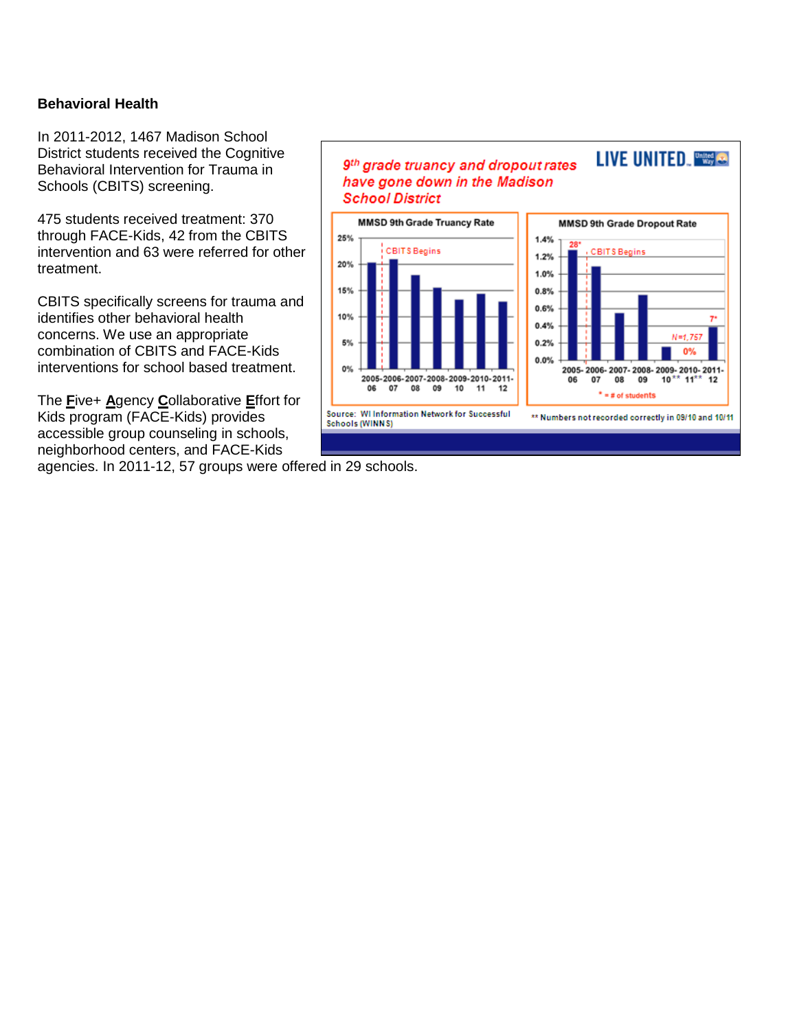### **Behavioral Health**

In 2011-2012, 1467 Madison School District students received the Cognitive Behavioral Intervention for Trauma in Schools (CBITS) screening.

475 students received treatment: 370 through FACE-Kids, 42 from the CBITS intervention and 63 were referred for other treatment.

CBITS specifically screens for trauma and identifies other behavioral health concerns. We use an appropriate combination of CBITS and FACE-Kids interventions for school based treatment.

The **F**ive+ **A**gency **C**ollaborative **E**ffort for Kids program (FACE-Kids) provides accessible group counseling in schools, neighborhood centers, and FACE-Kids agencies. In 2011-12, 57 groups were offered in 29 schools.

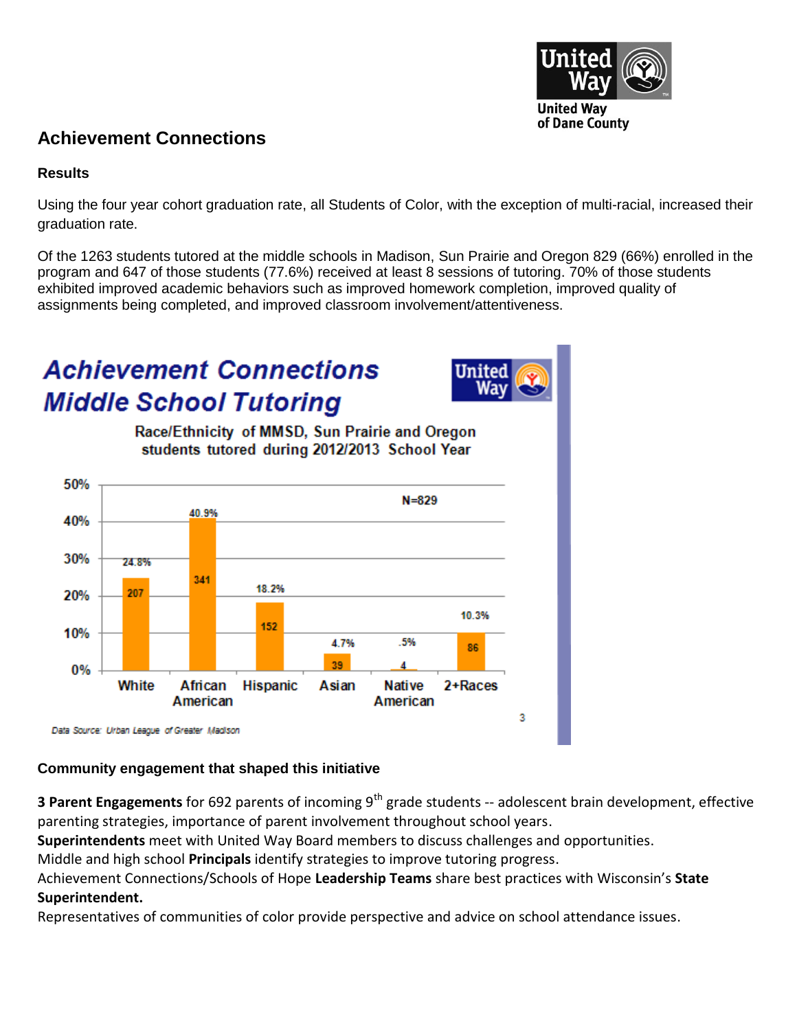

### **Achievement Connections**

### **Results**

Using the four year cohort graduation rate, all Students of Color, with the exception of multi-racial, increased their graduation rate.

Of the 1263 students tutored at the middle schools in Madison, Sun Prairie and Oregon 829 (66%) enrolled in the program and 647 of those students (77.6%) received at least 8 sessions of tutoring. 70% of those students exhibited improved academic behaviors such as improved homework completion, improved quality of assignments being completed, and improved classroom involvement/attentiveness.

# **Achievement Connections Middle School Tutoring**



Race/Ethnicity of MMSD. Sun Prairie and Oregon students tutored during 2012/2013 School Year



### **Community engagement that shaped this initiative**

**3** Parent Engagements for 692 parents of incoming 9<sup>th</sup> grade students -- adolescent brain development, effective parenting strategies, importance of parent involvement throughout school years.

**Superintendents** meet with United Way Board members to discuss challenges and opportunities.

Middle and high school **Principals** identify strategies to improve tutoring progress.

Achievement Connections/Schools of Hope **Leadership Teams** share best practices with Wisconsin's **State Superintendent.**

Representatives of communities of color provide perspective and advice on school attendance issues.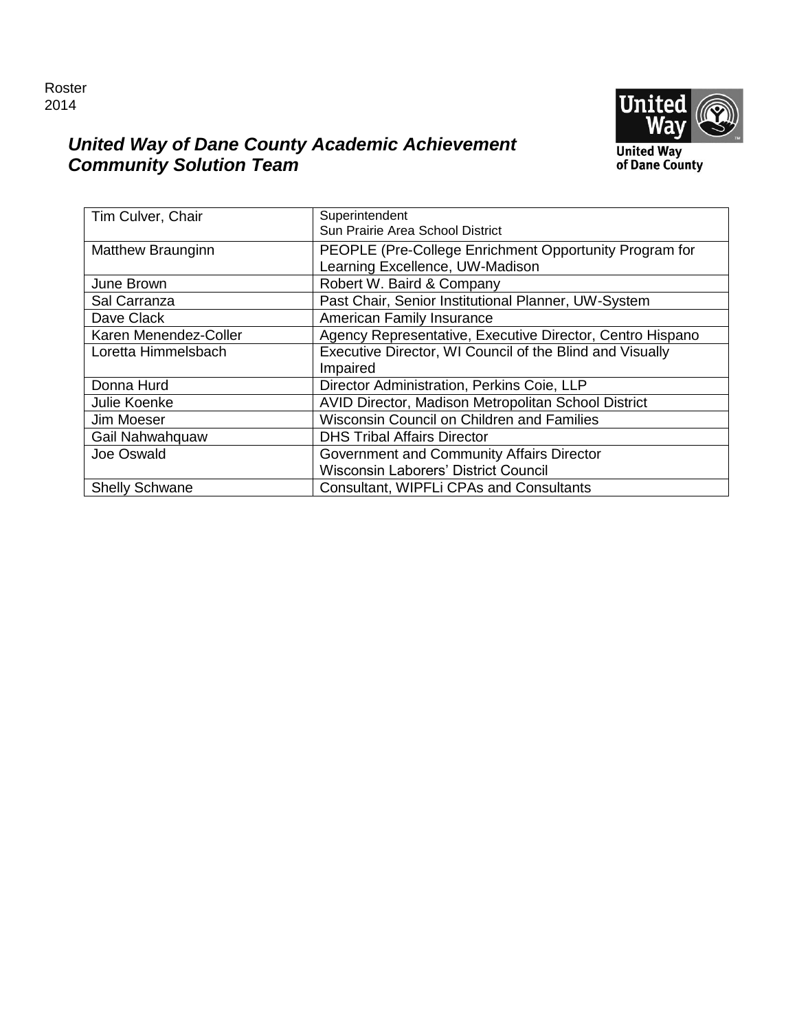### Roster 2014



### *United Way of Dane County Academic Achievement Community Solution Team*

**United Way<br>of Dane County** 

| Tim Culver, Chair        | Superintendent<br>Sun Prairie Area School District        |
|--------------------------|-----------------------------------------------------------|
| <b>Matthew Braunginn</b> | PEOPLE (Pre-College Enrichment Opportunity Program for    |
|                          | Learning Excellence, UW-Madison                           |
| June Brown               | Robert W. Baird & Company                                 |
| Sal Carranza             | Past Chair, Senior Institutional Planner, UW-System       |
| Dave Clack               | American Family Insurance                                 |
| Karen Menendez-Coller    | Agency Representative, Executive Director, Centro Hispano |
| Loretta Himmelsbach      | Executive Director, WI Council of the Blind and Visually  |
|                          | Impaired                                                  |
| Donna Hurd               | Director Administration, Perkins Coie, LLP                |
| Julie Koenke             | AVID Director, Madison Metropolitan School District       |
| Jim Moeser               | Wisconsin Council on Children and Families                |
| Gail Nahwahquaw          | <b>DHS Tribal Affairs Director</b>                        |
| Joe Oswald               | Government and Community Affairs Director                 |
|                          | Wisconsin Laborers' District Council                      |
| <b>Shelly Schwane</b>    | Consultant, WIPFLi CPAs and Consultants                   |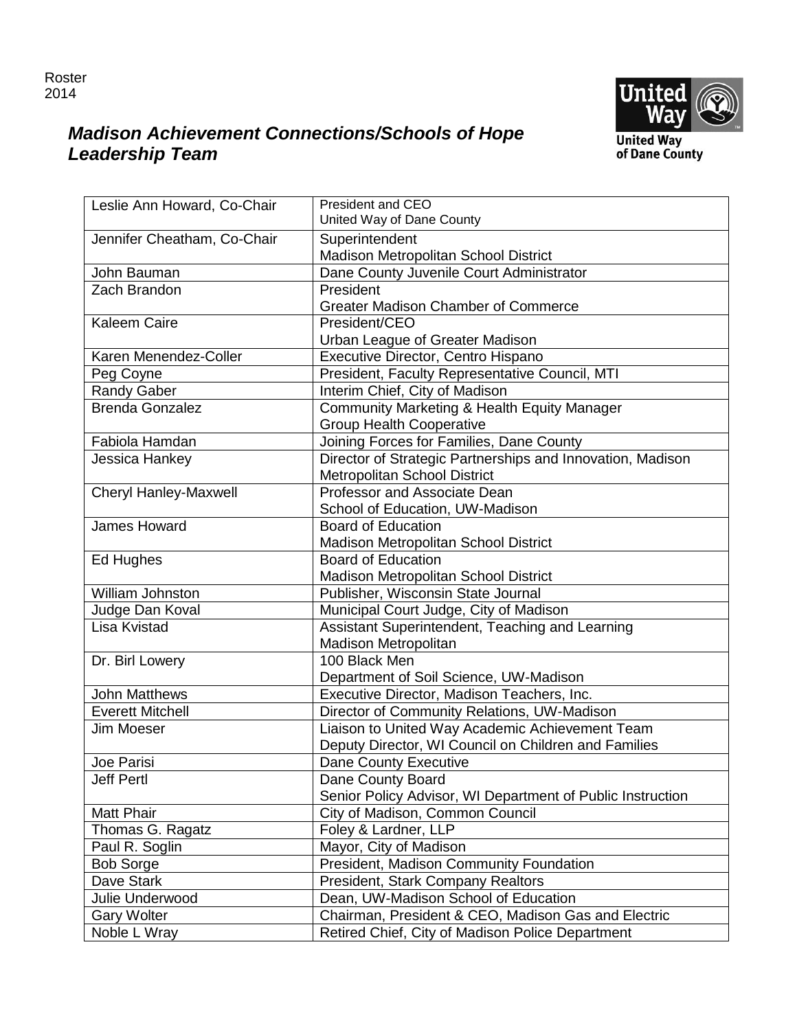

## *Madison Achievement Connections/Schools of Hope Leadership Team*



| Leslie Ann Howard, Co-Chair | <b>President and CEO</b>                                   |
|-----------------------------|------------------------------------------------------------|
|                             | United Way of Dane County                                  |
| Jennifer Cheatham, Co-Chair | Superintendent                                             |
|                             | Madison Metropolitan School District                       |
| John Bauman                 | Dane County Juvenile Court Administrator                   |
| Zach Brandon                | President                                                  |
|                             | <b>Greater Madison Chamber of Commerce</b>                 |
| <b>Kaleem Caire</b>         | President/CEO                                              |
|                             | Urban League of Greater Madison                            |
| Karen Menendez-Coller       | Executive Director, Centro Hispano                         |
| Peg Coyne                   | President, Faculty Representative Council, MTI             |
| <b>Randy Gaber</b>          | Interim Chief, City of Madison                             |
| <b>Brenda Gonzalez</b>      | Community Marketing & Health Equity Manager                |
|                             | <b>Group Health Cooperative</b>                            |
| Fabiola Hamdan              | Joining Forces for Families, Dane County                   |
| Jessica Hankey              | Director of Strategic Partnerships and Innovation, Madison |
|                             | Metropolitan School District                               |
| Cheryl Hanley-Maxwell       | Professor and Associate Dean                               |
|                             | School of Education, UW-Madison                            |
| <b>James Howard</b>         | <b>Board of Education</b>                                  |
|                             | Madison Metropolitan School District                       |
| Ed Hughes                   | <b>Board of Education</b>                                  |
|                             | Madison Metropolitan School District                       |
| William Johnston            | Publisher, Wisconsin State Journal                         |
| Judge Dan Koval             | Municipal Court Judge, City of Madison                     |
| Lisa Kvistad                | Assistant Superintendent, Teaching and Learning            |
|                             | Madison Metropolitan                                       |
| Dr. Birl Lowery             | 100 Black Men                                              |
|                             | Department of Soil Science, UW-Madison                     |
| <b>John Matthews</b>        | Executive Director, Madison Teachers, Inc.                 |
| <b>Everett Mitchell</b>     | Director of Community Relations, UW-Madison                |
| Jim Moeser                  | Liaison to United Way Academic Achievement Team            |
|                             | Deputy Director, WI Council on Children and Families       |
| Joe Parisi                  | Dane County Executive                                      |
| Jeff Pertl                  | Dane County Board                                          |
|                             | Senior Policy Advisor, WI Department of Public Instruction |
| <b>Matt Phair</b>           | City of Madison, Common Council                            |
| Thomas G. Ragatz            | Foley & Lardner, LLP                                       |
| Paul R. Soglin              | Mayor, City of Madison                                     |
| <b>Bob Sorge</b>            | President, Madison Community Foundation                    |
| Dave Stark                  | President, Stark Company Realtors                          |
| Julie Underwood             | Dean, UW-Madison School of Education                       |
| <b>Gary Wolter</b>          | Chairman, President & CEO, Madison Gas and Electric        |
| Noble L Wray                | Retired Chief, City of Madison Police Department           |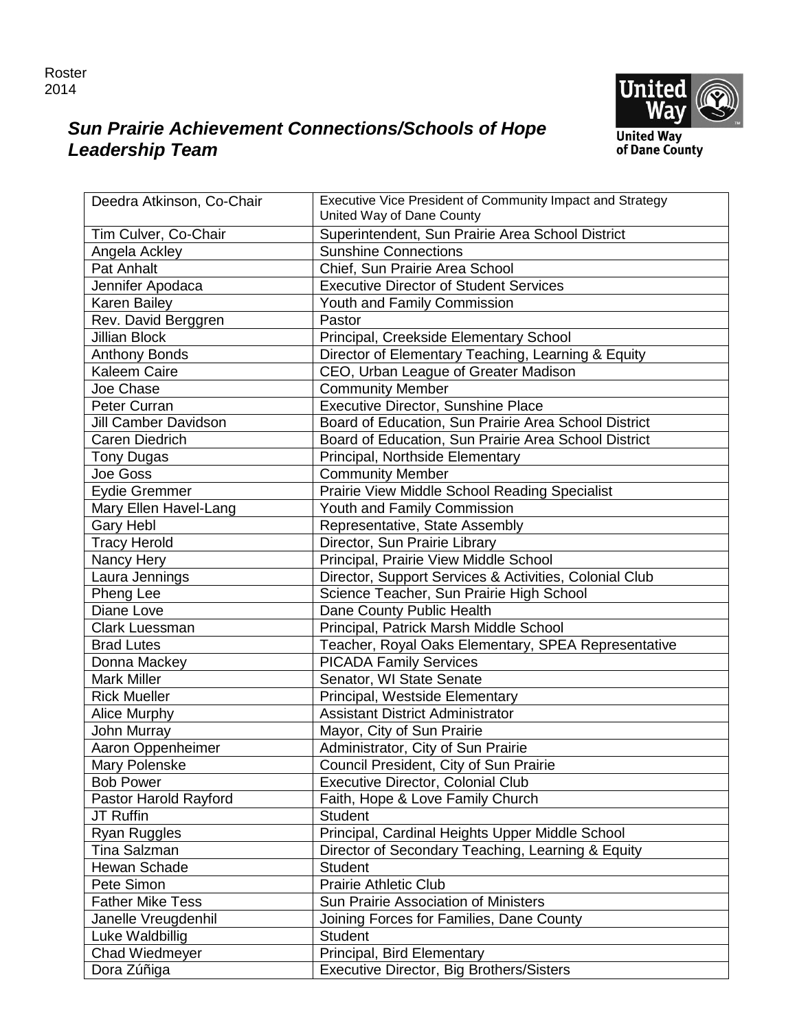

### *Sun Prairie Achievement Connections/Schools of Hope Leadership Team*

| Deedra Atkinson, Co-Chair   | Executive Vice President of Community Impact and Strategy<br>United Way of Dane County |
|-----------------------------|----------------------------------------------------------------------------------------|
| Tim Culver, Co-Chair        | Superintendent, Sun Prairie Area School District                                       |
| Angela Ackley               | <b>Sunshine Connections</b>                                                            |
| Pat Anhalt                  | Chief, Sun Prairie Area School                                                         |
| Jennifer Apodaca            | <b>Executive Director of Student Services</b>                                          |
| <b>Karen Bailey</b>         | Youth and Family Commission                                                            |
| Rev. David Berggren         | Pastor                                                                                 |
| <b>Jillian Block</b>        | Principal, Creekside Elementary School                                                 |
| <b>Anthony Bonds</b>        | Director of Elementary Teaching, Learning & Equity                                     |
| Kaleem Caire                | CEO, Urban League of Greater Madison                                                   |
| Joe Chase                   | <b>Community Member</b>                                                                |
| <b>Peter Curran</b>         | Executive Director, Sunshine Place                                                     |
| <b>Jill Camber Davidson</b> | Board of Education, Sun Prairie Area School District                                   |
| <b>Caren Diedrich</b>       | Board of Education, Sun Prairie Area School District                                   |
| <b>Tony Dugas</b>           | Principal, Northside Elementary                                                        |
| Joe Goss                    | <b>Community Member</b>                                                                |
| <b>Eydie Gremmer</b>        | <b>Prairie View Middle School Reading Specialist</b>                                   |
| Mary Ellen Havel-Lang       | Youth and Family Commission                                                            |
| Gary Hebl                   | Representative, State Assembly                                                         |
| <b>Tracy Herold</b>         | Director, Sun Prairie Library                                                          |
| Nancy Hery                  | Principal, Prairie View Middle School                                                  |
| Laura Jennings              | Director, Support Services & Activities, Colonial Club                                 |
| Pheng Lee                   | Science Teacher, Sun Prairie High School                                               |
| Diane Love                  | Dane County Public Health                                                              |
| <b>Clark Luessman</b>       | Principal, Patrick Marsh Middle School                                                 |
| <b>Brad Lutes</b>           | Teacher, Royal Oaks Elementary, SPEA Representative                                    |
| Donna Mackey                | <b>PICADA Family Services</b>                                                          |
| <b>Mark Miller</b>          | Senator, WI State Senate                                                               |
| <b>Rick Mueller</b>         | Principal, Westside Elementary                                                         |
| Alice Murphy                | <b>Assistant District Administrator</b>                                                |
| John Murray                 | Mayor, City of Sun Prairie                                                             |
| Aaron Oppenheimer           | Administrator, City of Sun Prairie                                                     |
| Mary Polenske               | Council President, City of Sun Prairie                                                 |
| <b>Bob Power</b>            | <b>Executive Director, Colonial Club</b>                                               |
| Pastor Harold Rayford       | Faith, Hope & Love Family Church                                                       |
| JT Ruffin                   | <b>Student</b>                                                                         |
| <b>Ryan Ruggles</b>         | Principal, Cardinal Heights Upper Middle School                                        |
| Tina Salzman                | Director of Secondary Teaching, Learning & Equity                                      |
| Hewan Schade                | <b>Student</b>                                                                         |
| Pete Simon                  | <b>Prairie Athletic Club</b>                                                           |
| <b>Father Mike Tess</b>     | Sun Prairie Association of Ministers                                                   |
| Janelle Vreugdenhil         | Joining Forces for Families, Dane County                                               |
| Luke Waldbillig             | <b>Student</b>                                                                         |
| Chad Wiedmeyer              | Principal, Bird Elementary                                                             |
| Dora Zúñiga                 | Executive Director, Big Brothers/Sisters                                               |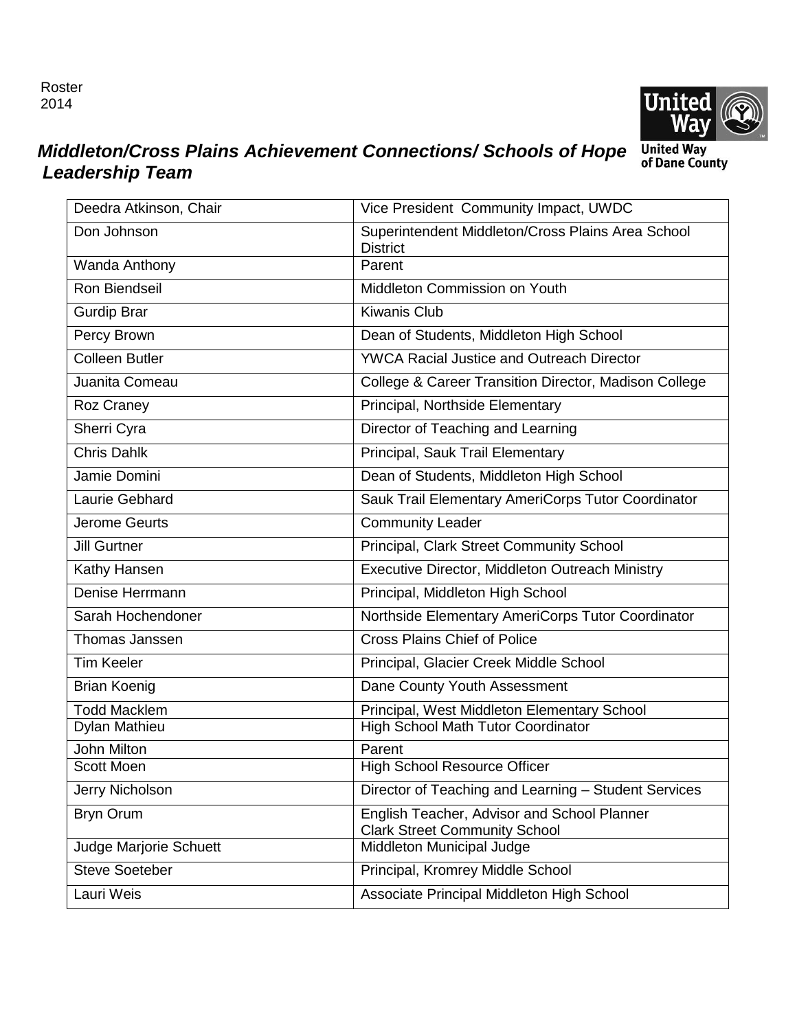Roster 2014



### *Middleton/Cross Plains Achievement Connections/ Schools of Hope Leadership Team*

| Deedra Atkinson, Chair        | Vice President Community Impact, UWDC                                               |
|-------------------------------|-------------------------------------------------------------------------------------|
| Don Johnson                   | Superintendent Middleton/Cross Plains Area School<br><b>District</b>                |
| Wanda Anthony                 | Parent                                                                              |
| Ron Biendseil                 | Middleton Commission on Youth                                                       |
| <b>Gurdip Brar</b>            | <b>Kiwanis Club</b>                                                                 |
| Percy Brown                   | Dean of Students, Middleton High School                                             |
| <b>Colleen Butler</b>         | <b>YWCA Racial Justice and Outreach Director</b>                                    |
| Juanita Comeau                | College & Career Transition Director, Madison College                               |
| Roz Craney                    | Principal, Northside Elementary                                                     |
| Sherri Cyra                   | Director of Teaching and Learning                                                   |
| <b>Chris Dahlk</b>            | Principal, Sauk Trail Elementary                                                    |
| Jamie Domini                  | Dean of Students, Middleton High School                                             |
| Laurie Gebhard                | Sauk Trail Elementary AmeriCorps Tutor Coordinator                                  |
| Jerome Geurts                 | Community Leader                                                                    |
| <b>Jill Gurtner</b>           | Principal, Clark Street Community School                                            |
| Kathy Hansen                  | Executive Director, Middleton Outreach Ministry                                     |
| Denise Herrmann               | Principal, Middleton High School                                                    |
| Sarah Hochendoner             | Northside Elementary AmeriCorps Tutor Coordinator                                   |
| Thomas Janssen                | <b>Cross Plains Chief of Police</b>                                                 |
| <b>Tim Keeler</b>             | Principal, Glacier Creek Middle School                                              |
| <b>Brian Koenig</b>           | Dane County Youth Assessment                                                        |
| <b>Todd Macklem</b>           | Principal, West Middleton Elementary School                                         |
| Dylan Mathieu                 | High School Math Tutor Coordinator                                                  |
| <b>John Milton</b>            | Parent                                                                              |
| <b>Scott Moen</b>             | <b>High School Resource Officer</b>                                                 |
| Jerry Nicholson               | Director of Teaching and Learning - Student Services                                |
| <b>Bryn Orum</b>              | English Teacher, Advisor and School Planner<br><b>Clark Street Community School</b> |
| <b>Judge Marjorie Schuett</b> | Middleton Municipal Judge                                                           |
| <b>Steve Soeteber</b>         | Principal, Kromrey Middle School                                                    |
| Lauri Weis                    | Associate Principal Middleton High School                                           |